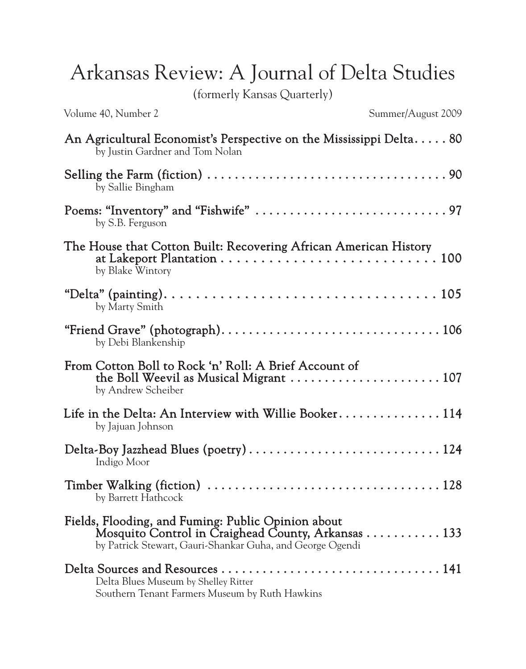Arkansas Review: A Journal of Delta Studies

(formerly Kansas Quarterly)

Volume 40, Number 2 Summer/August 2009

| An Agricultural Economist's Perspective on the Mississippi Delta 80<br>by Justin Gardner and Tom Nolan                                                                                              |
|-----------------------------------------------------------------------------------------------------------------------------------------------------------------------------------------------------|
| by Sallie Bingham                                                                                                                                                                                   |
| by S.B. Ferguson                                                                                                                                                                                    |
| The House that Cotton Built: Recovering African American History<br>at Lakeport Plantation $\ldots \ldots \ldots \ldots \ldots \ldots \ldots \ldots \ldots 100$<br>by Blake Wintory                 |
| by Marty Smith                                                                                                                                                                                      |
| by Debi Blankenship                                                                                                                                                                                 |
| From Cotton Boll to Rock 'n' Roll: A Brief Account of<br>the Boll Weevil as Musical Migrant $\dots\dots\dots\dots\dots\dots\dots\dots 107$<br>by Andrew Scheiber                                    |
| Life in the Delta: An Interview with Willie Booker 114<br>by Jajuan Johnson                                                                                                                         |
| Indigo Moor                                                                                                                                                                                         |
| by Barrett Hathcock                                                                                                                                                                                 |
| Fields, Flooding, and Fuming: Public Opinion about<br>Mosquito Control in Craighead County, Arkansas $\ldots \ldots \ldots \ldots$ 133<br>by Patrick Stewart, Gauri-Shankar Guha, and George Ogendi |
| Delta Blues Museum by Shelley Ritter<br>Southern Tenant Farmers Museum by Ruth Hawkins                                                                                                              |